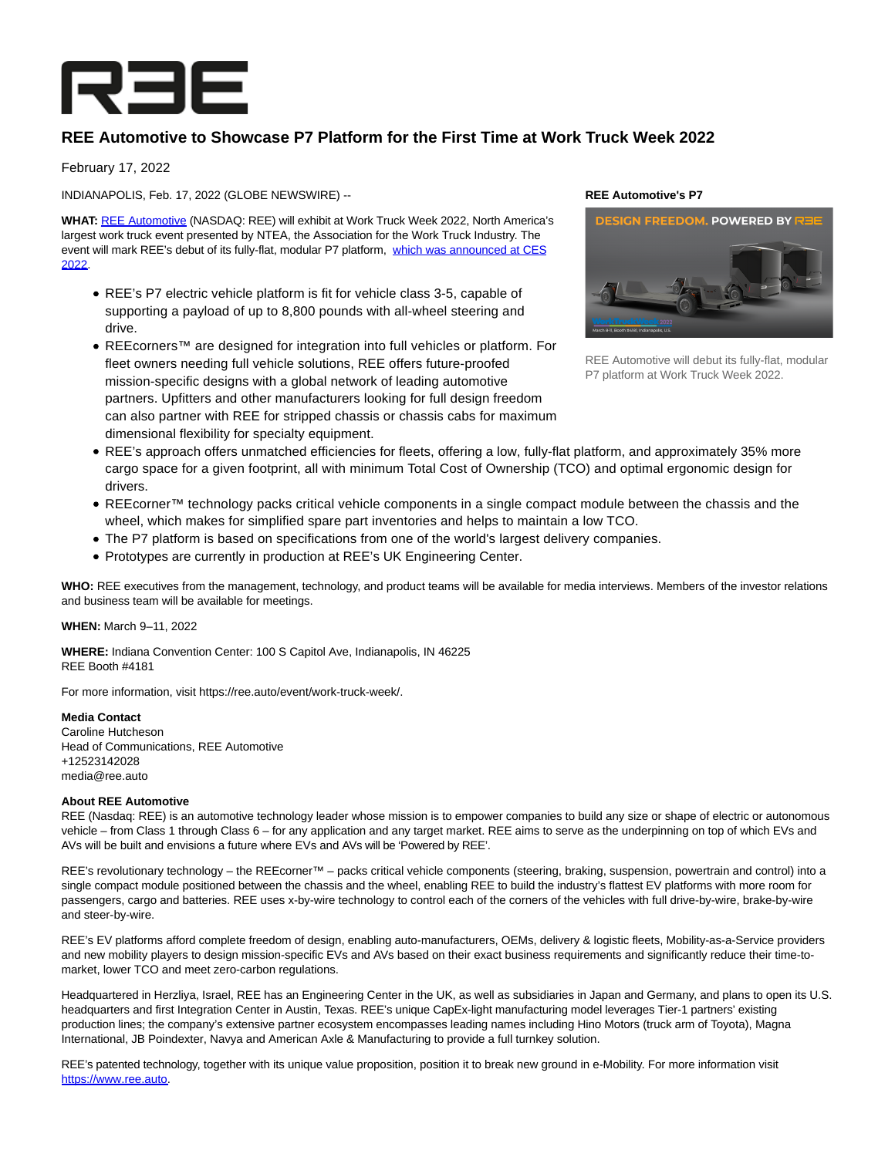

## **REE Automotive to Showcase P7 Platform for the First Time at Work Truck Week 2022**

February 17, 2022

INDIANAPOLIS, Feb. 17, 2022 (GLOBE NEWSWIRE) --

**WHAT:** [REE Automotive \(](https://www.globenewswire.com/Tracker?data=V4YtJ31LL97gTSe0164aW71SRsbxVIdssxxetQlUcAk-QEzKNgr7Ht6ZBLE6c4m3BZh8_eeNDOQVfH5i57XO_A==)NASDAQ: REE) will exhibit at Work Truck Week 2022, North America's largest work truck event presented by NTEA, the Association for the Work Truck Industry. The event will mark REE's debut of its fully-flat, modular P7 platform, [which was announced at CES](https://www.globenewswire.com/Tracker?data=LkHvNGH2LSG8uTAQa-CFxPFTC7alExmTqwOehDO2iKxn_th6KcFpXgwwMjDvEoY__G1bdKR8kRdwZrpih1402EGYUB4rmP31mfyLDmSH_dF5MxIG99pnJknlbnDaked-GEz-jVeFdXk1OtgvpNby2XUTZ9jvF1fnvQudEzjLqA8hIscV_RI5zi7COT5N3iQ6iqC9fZ6JWS3BftUH5ebT1O0QxjyT2hg137Y6G5SHVp0=) 2022.

- REE's P7 electric vehicle platform is fit for vehicle class 3-5, capable of supporting a payload of up to 8,800 pounds with all-wheel steering and drive.
- REEcorners™ are designed for integration into full vehicles or platform. For fleet owners needing full vehicle solutions, REE offers future-proofed mission-specific designs with a global network of leading automotive partners. Upfitters and other manufacturers looking for full design freedom can also partner with REE for stripped chassis or chassis cabs for maximum dimensional flexibility for specialty equipment.

## **REE Automotive's P7**



REE Automotive will debut its fully-flat, modular P7 platform at Work Truck Week 2022.

- REE's approach offers unmatched efficiencies for fleets, offering a low, fully-flat platform, and approximately 35% more cargo space for a given footprint, all with minimum Total Cost of Ownership (TCO) and optimal ergonomic design for drivers.
- REEcorner™ technology packs critical vehicle components in a single compact module between the chassis and the wheel, which makes for simplified spare part inventories and helps to maintain a low TCO.
- The P7 platform is based on specifications from one of the world's largest delivery companies.
- Prototypes are currently in production at REE's UK Engineering Center.

**WHO:** REE executives from the management, technology, and product teams will be available for media interviews. Members of the investor relations and business team will be available for meetings.

**WHEN:** March 9–11, 2022

**WHERE:** Indiana Convention Center: 100 S Capitol Ave, Indianapolis, IN 46225 REE Booth #4181

For more information, visit https://ree.auto/event/work-truck-week/.

## **Media Contact**

Caroline Hutcheson Head of Communications, REE Automotive +12523142028 media@ree.auto

## **About REE Automotive**

REE (Nasdaq: REE) is an automotive technology leader whose mission is to empower companies to build any size or shape of electric or autonomous vehicle – from Class 1 through Class 6 – for any application and any target market. REE aims to serve as the underpinning on top of which EVs and AVs will be built and envisions a future where EVs and AVs will be 'Powered by REE'.

REE's revolutionary technology – the REEcorner™ – packs critical vehicle components (steering, braking, suspension, powertrain and control) into a single compact module positioned between the chassis and the wheel, enabling REE to build the industry's flattest EV platforms with more room for passengers, cargo and batteries. REE uses x-by-wire technology to control each of the corners of the vehicles with full drive-by-wire, brake-by-wire and steer-by-wire.

REE's EV platforms afford complete freedom of design, enabling auto-manufacturers, OEMs, delivery & logistic fleets, Mobility-as-a-Service providers and new mobility players to design mission-specific EVs and AVs based on their exact business requirements and significantly reduce their time-tomarket, lower TCO and meet zero-carbon regulations.

Headquartered in Herzliya, Israel, REE has an Engineering Center in the UK, as well as subsidiaries in Japan and Germany, and plans to open its U.S. headquarters and first Integration Center in Austin, Texas. REE's unique CapEx-light manufacturing model leverages Tier-1 partners' existing production lines; the company's extensive partner ecosystem encompasses leading names including Hino Motors (truck arm of Toyota), Magna International, JB Poindexter, Navya and American Axle & Manufacturing to provide a full turnkey solution.

REE's patented technology, together with its unique value proposition, position it to break new ground in e-Mobility. For more information visit [https://www.ree.auto.](https://www.globenewswire.com/Tracker?data=JMG3R6w12u_sjKZAS_qwWUX0fbjbTdksEGkb3_JWPrHw6Jqzk6EAhg7dJVjuZ9Zr_sJ0jOeClHUfZ0wOZOl55w==)